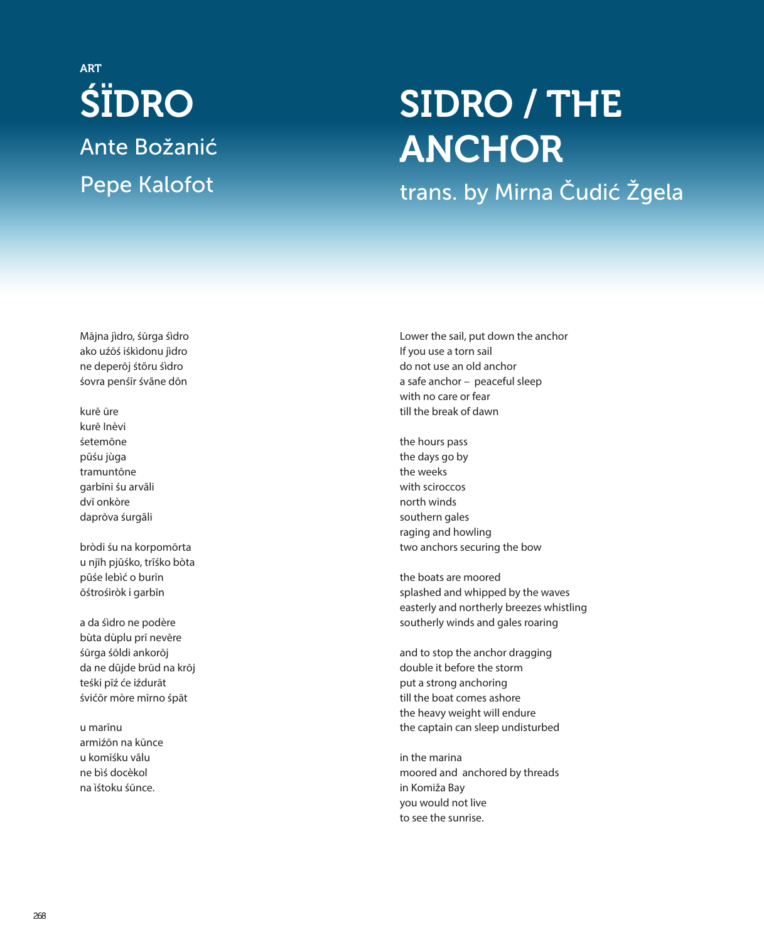## ŚÏDRO Ante Božanić Pepe Kalofot ART

## SIDRO / THE ANCHOR

trans. by Mirna Čudić Žgela

Mājna jìdro, śūrga śìdro ako uźōś iśkìdonu jìdro ne deperōj śtõru śìdro śovra penśīr śvãne dōn

kurē ūre kurē Inèvi śetemōne pũśu jùga tramuntōne garbīni śu arvãli dvī onkòre daprōva śurgãli

bròdi śu na korpomōrta u njīh pjũśko, trĩśko bòta pũśe lebìć o burīn ōśtrośiròk i garbīn

a da śìdro ne podère bùta dùplu prī nevēre śūrga śōldi ankorōj da ne dũjde brūd na krōj teśki pīź će iźdurāt śvićōr mòre mīrno śpāt

u marīnu armiźōn na kūnce u komīśku vãlu ne bìś docèkol na ìśtoku śūnce.

Lower the sail, put down the anchor If you use a torn sail do not use an old anchor a safe anchor – peaceful sleep with no care or fear till the break of dawn

the hours pass the days go by the weeks with sciroccos north winds southern gales raging and howling two anchors securing the bow

the boats are moored splashed and whipped by the waves easterly and northerly breezes whistling southerly winds and gales roaring

and to stop the anchor dragging double it before the storm put a strong anchoring till the boat comes ashore the heavy weight will endure the captain can sleep undisturbed

in the marina moored and anchored by threads in Komiža Bay you would not live to see the sunrise.